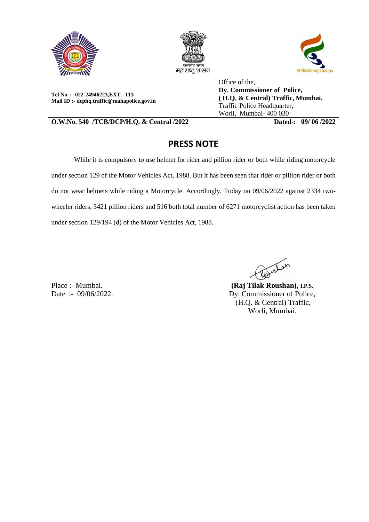





**Tel No. :- 022-24946223,EXT.- 113 Mail ID :- dcphq.traffic@mahapolice.gov.in**

Office of the, **Dy. Commissioner of Police, ( H.Q. & Central) Traffic, Mumbai.**  Traffic Police Headquarter, Worli, Mumbai- 400 030

**O.W.No. 540 /TCB/DCP/H.Q. & Central /2022 Dated-: 09/ 06 /2022**

## **PRESS NOTE**

While it is compulsory to use helmet for rider and pillion rider or both while riding motorcycle under section 129 of the Motor Vehicles Act, 1988. But it has been seen that rider or pillion rider or both do not wear helmets while riding a Motorcycle. Accordingly, Today on 09/06/2022 against 2334 twowheeler riders, 3421 pillion riders and 516 both total number of 6271 motorcyclist action has been taken under section 129/194 (d) of the Motor Vehicles Act, 1988.

Paristan

Place :- Mumbai. Date :- 09/06/2022.

**(Raj Tilak Roushan), I.P.S.** Dy. Commissioner of Police, (H.Q. & Central) Traffic, Worli, Mumbai.